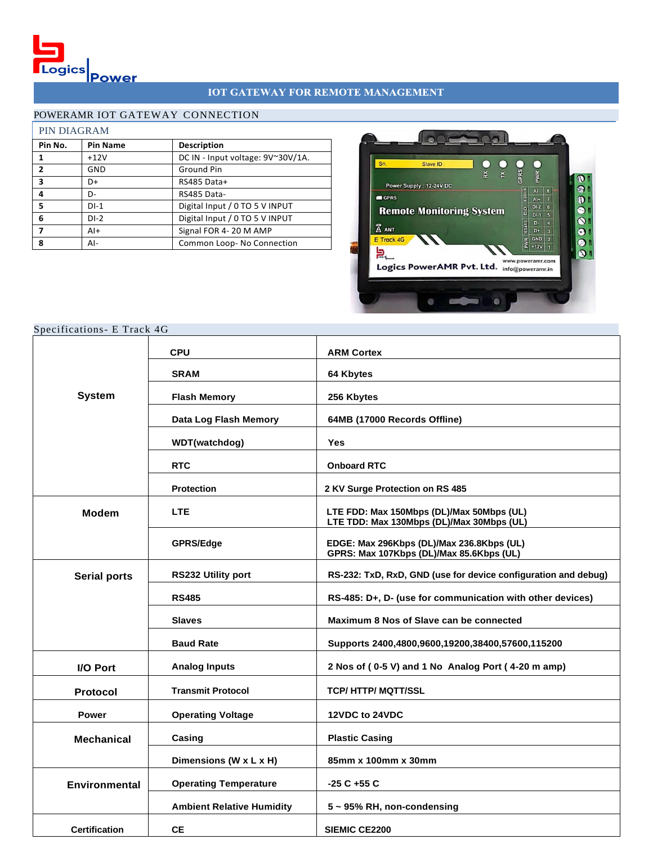

### IOT GATEWAY FOR REMOTE MANAGEMENT

### POWERAMR IOT GATEWAY CONNECTION

#### PIN DIAGRAM

| Pin No.        | <b>Pin Name</b> | <b>Description</b>                |  |
|----------------|-----------------|-----------------------------------|--|
|                | $+12V$          | DC IN - Input voltage: 9V~30V/1A. |  |
| $\overline{2}$ | GND             | Ground Pin                        |  |
| 3              | D+              | RS485 Data+                       |  |
| 4              | D-              | RS485 Data-                       |  |
| 5              | $DI-1$          | Digital Input / 0 TO 5 V INPUT    |  |
| 6              | $DI-2$          | Digital Input / 0 TO 5 V INPUT    |  |
|                | $Al+$           | Signal FOR 4-20 M AMP             |  |
| 8              | $AI-$           | Common Loop-No Connection         |  |



### Specifications- E Track 4G

|                      | <b>CPU</b>                       | <b>ARM Cortex</b>                                                                      |  |
|----------------------|----------------------------------|----------------------------------------------------------------------------------------|--|
|                      | <b>SRAM</b>                      | 64 Kbytes                                                                              |  |
| <b>System</b>        | <b>Flash Memory</b>              | 256 Kbytes                                                                             |  |
|                      | Data Log Flash Memory            | 64MB (17000 Records Offline)                                                           |  |
|                      | <b>WDT(watchdog)</b>             | <b>Yes</b>                                                                             |  |
|                      | <b>RTC</b>                       | <b>Onboard RTC</b>                                                                     |  |
|                      | <b>Protection</b>                | 2 KV Surge Protection on RS 485                                                        |  |
| <b>Modem</b>         | <b>LTE</b>                       | LTE FDD: Max 150Mbps (DL)/Max 50Mbps (UL)<br>LTE TDD: Max 130Mbps (DL)/Max 30Mbps (UL) |  |
|                      | <b>GPRS/Edge</b>                 | EDGE: Max 296Kbps (DL)/Max 236.8Kbps (UL)<br>GPRS: Max 107Kbps (DL)/Max 85.6Kbps (UL)  |  |
| <b>Serial ports</b>  | RS232 Utility port               | RS-232: TxD, RxD, GND (use for device configuration and debug)                         |  |
|                      | <b>RS485</b>                     | RS-485: D+, D- (use for communication with other devices)                              |  |
|                      | <b>Slaves</b>                    | Maximum 8 Nos of Slave can be connected                                                |  |
|                      | <b>Baud Rate</b>                 | Supports 2400,4800,9600,19200,38400,57600,115200                                       |  |
| I/O Port             | <b>Analog Inputs</b>             | 2 Nos of (0-5 V) and 1 No Analog Port (4-20 m amp)                                     |  |
| <b>Protocol</b>      | <b>Transmit Protocol</b>         | <b>TCP/ HTTP/ MQTT/SSL</b>                                                             |  |
| <b>Power</b>         | <b>Operating Voltage</b>         | 12VDC to 24VDC                                                                         |  |
| <b>Mechanical</b>    | Casing                           | <b>Plastic Casing</b>                                                                  |  |
|                      | Dimensions (W x L x H)           | 85mm x 100mm x 30mm                                                                    |  |
| Environmental        | <b>Operating Temperature</b>     | $-25C + 55C$                                                                           |  |
|                      | <b>Ambient Relative Humidity</b> | 5 ~ 95% RH, non-condensing                                                             |  |
| <b>Certification</b> | <b>CE</b>                        | <b>SIEMIC CE2200</b>                                                                   |  |